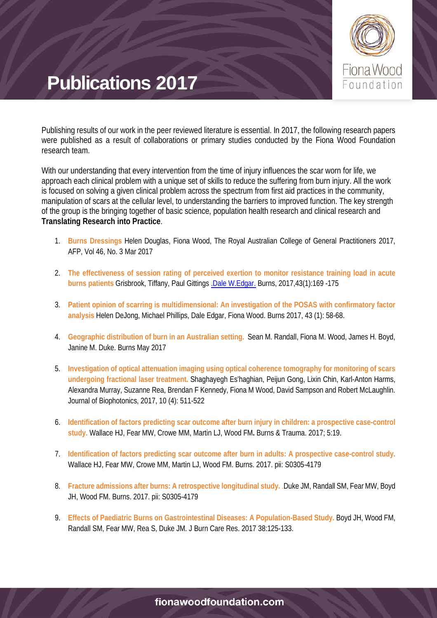

Publishing results of our work in the peer reviewed literature is essential. In 2017, the following research papers were published as a result of collaborations or primary studies conducted by the Fiona Wood Foundation research team.

With our understanding that every intervention from the time of injury influences the scar worn for life, we approach each clinical problem with a unique set of skills to reduce the suffering from burn injury. All the work is focused on solving a given clinical problem across the spectrum from first aid practices in the community, manipulation of scars at the cellular level, to understanding the barriers to improved function. The key strength of the group is the bringing together of basic science, population health research and clinical research and **Translating Research into Practice**.

- 1. **Burns Dressings** Helen Douglas, Fiona Wood, The Royal Australian College of General Practitioners 2017, AFP, Vol 46, No. 3 Mar 2017
- 2. **The effectiveness of session rating of perceived exertion to monitor resistance training load in acute burns patients** Grisbrook, Tiffany, Paul Gittings [.Dale W.Edgar.](http://www.sciencedirect.com.smhslibresources.health.wa.gov.au/science/article/pii/S0305417916302364#!) Burns, 2017,43(1):169 -175
- 3. **Patient opinion of scarring is multidimensional: An investigation of the POSAS with confirmatory factor analysis** Helen DeJong, Michael Phillips, Dale Edgar, Fiona Wood. Burns 2017, 43 (1): 58-68.
- 4. **Geographic distribution of burn in an Australian setting.** Sean M. Randall, Fiona M. Wood, James H. Boyd, Janine M. Duke. Burns May 2017
- 5. **Investigation of optical attenuation imaging using optical coherence tomography for monitoring of scars undergoing fractional laser treatment.** Shaghayegh Es'haghian, Peijun Gong, Lixin Chin, Karl-Anton Harms, Alexandra Murray, Suzanne Rea, Brendan F Kennedy, Fiona M Wood, David Sampson and Robert McLaughlin. Journal of Biophotonics, 2017, 10 (4): 511-522
- 6. **[Identification of factors predicting scar outcome after burn injury in children: a prospective case-control](https://www.ncbi.nlm.nih.gov/pubmed/28680887)  [study.](https://www.ncbi.nlm.nih.gov/pubmed/28680887)** Wallace HJ, Fear MW, Crowe MM, Martin LJ, Wood FM**.** Burns & Trauma. 2017; 5:19.
- 7. **[Identification of factors predicting scar outcome after burn in adults: A prospective case-control study.](https://www.ncbi.nlm.nih.gov/pubmed/28420569)** Wallace HJ, Fear MW, Crowe MM, Martin LJ, Wood FM. Burns. 2017. pii: S0305-4179
- 8. **[Fracture admissions after burns: A retrospective longitudinal study.](https://www.ncbi.nlm.nih.gov/pubmed/28318751)** .Duke JM, Randall SM, Fear MW, Boyd JH, Wood FM. Burns. 2017. pii: S0305-4179
- 9. **[Effects of Paediatric Burns on Gastrointestinal Diseases: A Population-Based Study.](https://www.ncbi.nlm.nih.gov/pubmed/28253212)** Boyd JH, Wood FM, Randall SM, Fear MW, Rea S, Duke JM. J Burn Care Res. 2017 38:125-133.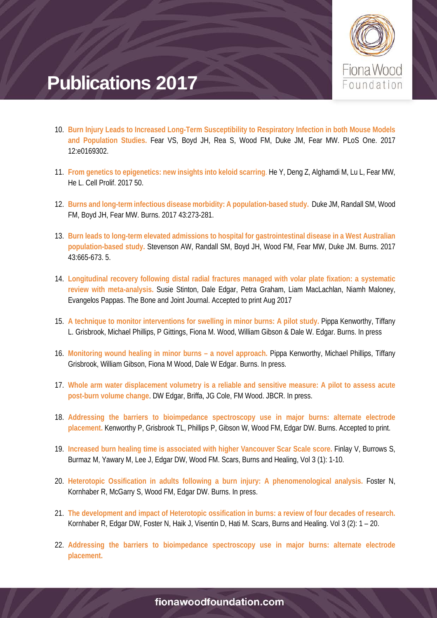

- 10. **[Burn Injury Leads to Increased Long-Term Susceptibility to Respiratory Infection in both Mouse Models](https://www.ncbi.nlm.nih.gov/pubmed/28068397)  [and Population Studies.](https://www.ncbi.nlm.nih.gov/pubmed/28068397)** Fear VS, Boyd JH, Rea S, Wood FM, Duke JM, Fear MW. PLoS One. 2017 12:e0169302.
- 11. **[From genetics to epigenetics: new insights into keloid scarring](https://www.ncbi.nlm.nih.gov/pubmed/28054407)**. He Y, Deng Z, Alghamdi M, Lu L, Fear MW, He L. Cell Prolif. 2017 50.
- 12. **[Burns and long-term infectious disease morbidity: A population-based study.](https://www.ncbi.nlm.nih.gov/pubmed/28041752)** Duke JM, Randall SM, Wood FM, Boyd JH, Fear MW. Burns. 2017 43:273-281.
- 13. **[Burn leads to long-term elevated admissions to hospital for gastrointestinal disease in a West Australian](https://www.ncbi.nlm.nih.gov/pubmed/27720266)  [population-based](https://www.ncbi.nlm.nih.gov/pubmed/27720266) study.** Stevenson AW, Randall SM, Boyd JH, Wood FM, Fear MW, Duke JM. Burns. 2017 43:665-673. 5.
- 14. **Longitudinal recovery following distal radial fractures managed with volar plate fixation: a systematic review with meta-analysis.** Susie Stinton, Dale Edgar, Petra Graham, Liam MacLachlan, Niamh Maloney, Evangelos Pappas. The Bone and Joint Journal. Accepted to print Aug 2017
- 15. **A technique to monitor interventions for swelling in minor burns: A pilot study.** Pippa Kenworthy, Tiffany L. Grisbrook, Michael Phillips, P Gittings, Fiona M. Wood, William Gibson & Dale W. Edgar. Burns. In press
- 16. **Monitoring wound healing in minor burns – a novel approach.** Pippa Kenworthy, Michael Phillips, Tiffany Grisbrook, William Gibson, Fiona M Wood, Dale W Edgar. Burns. In press.
- 17. **Whole arm water displacement volumetry is a reliable and sensitive measure: A pilot to assess acute post-burn volume change**. DW Edgar, Briffa, JG Cole, FM Wood. JBCR. In press.
- 18. **Addressing the barriers to bioimpedance spectroscopy use in major burns: alternate electrode placement.** Kenworthy P, Grisbrook TL, Phillips P, Gibson W, Wood FM, Edgar DW. Burns. Accepted to print.
- 19. **Increased burn healing time is associated with higher Vancouver Scar Scale score.** Finlay V, Burrows S, Burmaz M, Yawary M, Lee J, Edgar DW, Wood FM. Scars, Burns and Healing, Vol 3 (1): 1-10.
- 20. **Heterotopic Ossification in adults following a burn injury: A phenomenological analysis.** Foster N, Kornhaber R, McGarry S, Wood FM, Edgar DW. Burns. In press.
- 21. **The development and impact of Heterotopic ossification in burns: a review of four decades of research.**  Kornhaber R, Edgar DW, Foster N, Haik J, Visentin D, Hati M. Scars, Burns and Healing. Vol 3 (2): 1 – 20.
- 22. **Addressing the barriers to bioimpedance spectroscopy use in major burns: alternate electrode placement.**

#### fionawoodfoundation.com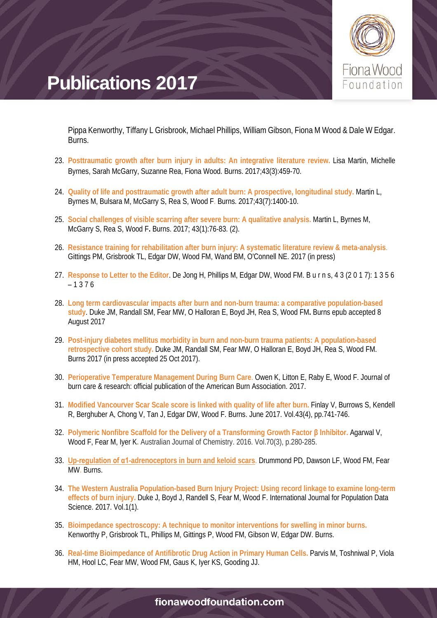

Pippa Kenworthy, Tiffany L Grisbrook, Michael Phillips, William Gibson, Fiona M Wood & Dale W Edgar. Burns.

- 23. **Posttraumatic growth after burn injury in adults: An integrative literature review.** Lisa Martin, Michelle Byrnes, Sarah McGarry, Suzanne Rea, Fiona Wood. Burns. 2017;43(3):459-70.
- 24. **Quality of life and posttraumatic growth after adult burn: A prospective, longitudinal study.** Martin L, Byrnes M, Bulsara M, McGarry S, Rea S, Wood F. Burns. 2017;43(7):1400-10.
- 25. **Social challenges of visible scarring after severe burn: A qualitative analysis.** Martin L, Byrnes M, McGarry S, Rea S, Wood F**.** Burns. 2017; 43(1):76-83. (2).
- 26. **Resistance training for rehabilitation after burn injury: A systematic literature review & meta-analysis**. Gittings PM, Grisbrook TL, Edgar DW, Wood FM, Wand BM, O'Connell NE. 2017 (in press)
- 27. **Response to Letter to the Editor**. De Jong H, Phillips M, Edgar DW, Wood FM. B u r n s, 4 3 (2 0 1 7): 1 3 5 6  $-1376$
- 28. **Long term cardiovascular impacts after burn and non-burn trauma: a comparative population-based study**. Duke JM, Randall SM, Fear MW, O Halloran E, Boyd JH, Rea S, Wood FM**.** Burns epub accepted 8 August 2017
- 29. **Post-injury diabetes mellitus morbidity in burn and non-burn trauma patients: A population-based retrospective cohort study.** Duke JM, Randall SM, Fear MW, O Halloran E, Boyd JH, Rea S, Wood FM. Burns 2017 (in press accepted 25 Oct 2017).
- 30. **Perioperative Temperature Management During Burn Care**. Owen K, Litton E, Raby E, Wood F. Journal of burn care & research: official publication of the American Burn Association. 2017.
- 31. **Modified Vancourver Scar Scale score is linked with quality of life after burn.** Finlay V, Burrows S, Kendell R, Berghuber A, Chong V, Tan J, Edgar DW, Wood F. Burns. June 2017. Vol.43(4), pp.741-746.
- 32. **Polymeric Nonfibre Scaffold for the Delivery of a Transforming Growth Factor β Inhibitor.** Agarwal V, Wood F, Fear M, Iyer K**.** Australian Journal of Chemistry. 2016. Vol.70(3), p.280-285.
- 33. **Up-regulation of α1[-adrenoceptors in burn and keloid scars](http://healthwa.exlibris.com.au/smhs?ctx_ver=Z39.88-2004&ctx_enc=info:ofi/enc:UTF-8&ctx_tim=2017-11-02T10%3A06%3A24IST&url_ver=Z39.88-2004&url_ctx_fmt=infofi/fmt:kev:mtx:ctx&rfr_id=info:sid/primo.exlibrisgroup.com:primo3-Article-sciversesciencedirect_elsevier&rft_val_fmt=info:ofi/fmt:kev:mtx:journal&rft.genre=article&rft.atitle=Up-regulation%20of%20%CE%B11-adrenoceptors%20in%20burn%20and%20keloid%20scars&rft.jtitle=Burns&rft.btitle=&rft.aulast=Drummond&rft.auinit=&rft.auinit1=&rft.auinitm=&rft.ausuffix=&rft.au=Drummond,%20Peter%20D.&rft.aucorp=&rft.date=2017&rft.volume=&rft.issue=&rft.part=&rft.quarter=&rft.ssn=&rft.spage=&rft.epage=&rft.pages=&rft.artnum=&rft.issn=0305-4179&rft.eissn=&rft.isbn=&rft.sici=&rft.coden=&rft_id=info:doi/10.1016/j.burns.2017.09.010&rft.object_id=&rft.eisbn=&rft_dat=%3csciversesciencedirect_elsevier%3eS0305-4179(17)30498-9%3c/sciversesciencedirect_elsevier%3e%3cgrp_id%3e-2532198490753290472%3c/grp_id%3e%3coa%3e%3c/oa%3e%3curl%3e%3c/url%3e&rft_id=info:oai/&req.language=eng)**. Drummond PD, Dawson LF, Wood FM, Fear MW. Burns.
- 34. **The Western Australia Population-based Burn Injury Project: Using record linkage to examine long-term effects of burn injury.** Duke J, Boyd J, Randell S, Fear M, Wood F. International Journal for Population Data Science. 2017. Vol.1(1).
- 35. **Bioimpedance spectroscopy: A technique to monitor interventions for swelling in minor burns.** Kenworthy P, Grisbrook TL, Phillips M, Gittings P, Wood FM, Gibson W, Edgar DW. Burns.
- 36. **Real-time Bioimpedance of Antifibrotic Drug Action in Primary Human Cells.** Parvis M, Toshniwal P, Viola HM, Hool LC, Fear MW, Wood FM, Gaus K, Iyer KS, Gooding JJ.

#### fionawoodfoundation.com